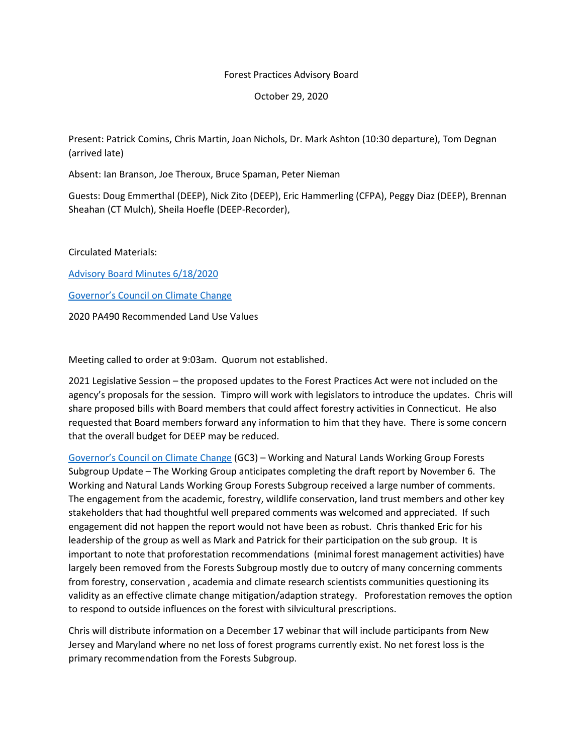## Forest Practices Advisory Board

October 29, 2020

Present: Patrick Comins, Chris Martin, Joan Nichols, Dr. Mark Ashton (10:30 departure), Tom Degnan (arrived late)

Absent: Ian Branson, Joe Theroux, Bruce Spaman, Peter Nieman

Guests: Doug Emmerthal (DEEP), Nick Zito (DEEP), Eric Hammerling (CFPA), Peggy Diaz (DEEP), Brennan Sheahan (CT Mulch), Sheila Hoefle (DEEP-Recorder),

Circulated Materials:

[Advisory Board Minutes 6/18/2020](https://portal.ct.gov/DEEP/Forestry/Forest-Practices-Advisory-Board) 

[Governor's Council on Climate Change](https://www.ct.gov/deep/cwp/view.asp?a=4423&Q=568878&deepNav_GID=2121)

2020 PA490 Recommended Land Use Values

Meeting called to order at 9:03am. Quorum not established.

2021 Legislative Session – the proposed updates to the Forest Practices Act were not included on the agency's proposals for the session. Timpro will work with legislators to introduce the updates. Chris will share proposed bills with Board members that could affect forestry activities in Connecticut. He also requested that Board members forward any information to him that they have. There is some concern that the overall budget for DEEP may be reduced.

[Governor's Council on Climate Change](https://www.ct.gov/deep/cwp/view.asp?a=4423&Q=568878&deepNav_GID=2121) (GC3) – Working and Natural Lands Working Group Forests Subgroup Update – The Working Group anticipates completing the draft report by November 6. The Working and Natural Lands Working Group Forests Subgroup received a large number of comments. The engagement from the academic, forestry, wildlife conservation, land trust members and other key stakeholders that had thoughtful well prepared comments was welcomed and appreciated. If such engagement did not happen the report would not have been as robust. Chris thanked Eric for his leadership of the group as well as Mark and Patrick for their participation on the sub group. It is important to note that proforestation recommendations (minimal forest management activities) have largely been removed from the Forests Subgroup mostly due to outcry of many concerning comments from forestry, conservation , academia and climate research scientists communities questioning its validity as an effective climate change mitigation/adaption strategy. Proforestation removes the option to respond to outside influences on the forest with silvicultural prescriptions.

Chris will distribute information on a December 17 webinar that will include participants from New Jersey and Maryland where no net loss of forest programs currently exist. No net forest loss is the primary recommendation from the Forests Subgroup.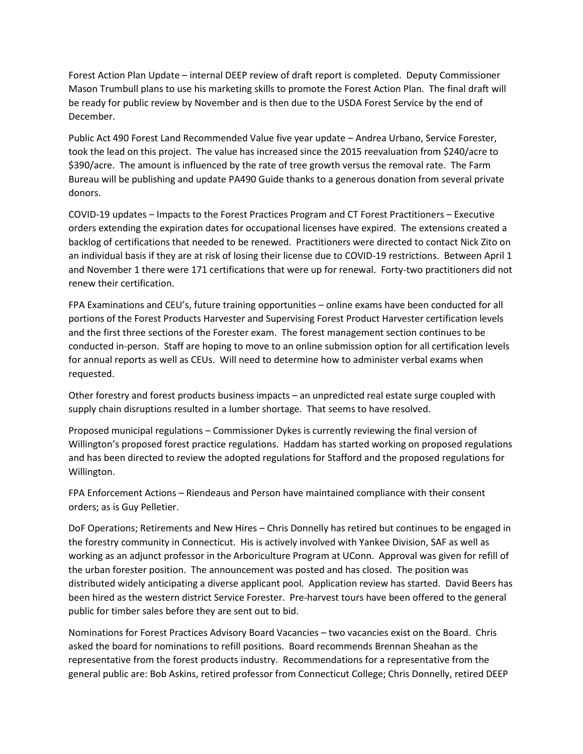Forest Action Plan Update – internal DEEP review of draft report is completed. Deputy Commissioner Mason Trumbull plans to use his marketing skills to promote the Forest Action Plan. The final draft will be ready for public review by November and is then due to the USDA Forest Service by the end of December.

Public Act 490 Forest Land Recommended Value five year update – Andrea Urbano, Service Forester, took the lead on this project. The value has increased since the 2015 reevaluation from \$240/acre to \$390/acre. The amount is influenced by the rate of tree growth versus the removal rate. The Farm Bureau will be publishing and update PA490 Guide thanks to a generous donation from several private donors.

COVID-19 updates – Impacts to the Forest Practices Program and CT Forest Practitioners – Executive orders extending the expiration dates for occupational licenses have expired. The extensions created a backlog of certifications that needed to be renewed. Practitioners were directed to contact Nick Zito on an individual basis if they are at risk of losing their license due to COVID-19 restrictions. Between April 1 and November 1 there were 171 certifications that were up for renewal. Forty-two practitioners did not renew their certification.

FPA Examinations and CEU's, future training opportunities – online exams have been conducted for all portions of the Forest Products Harvester and Supervising Forest Product Harvester certification levels and the first three sections of the Forester exam. The forest management section continues to be conducted in-person. Staff are hoping to move to an online submission option for all certification levels for annual reports as well as CEUs. Will need to determine how to administer verbal exams when requested.

Other forestry and forest products business impacts – an unpredicted real estate surge coupled with supply chain disruptions resulted in a lumber shortage. That seems to have resolved.

Proposed municipal regulations – Commissioner Dykes is currently reviewing the final version of Willington's proposed forest practice regulations. Haddam has started working on proposed regulations and has been directed to review the adopted regulations for Stafford and the proposed regulations for Willington.

FPA Enforcement Actions – Riendeaus and Person have maintained compliance with their consent orders; as is Guy Pelletier.

DoF Operations; Retirements and New Hires – Chris Donnelly has retired but continues to be engaged in the forestry community in Connecticut. His is actively involved with Yankee Division, SAF as well as working as an adjunct professor in the Arboriculture Program at UConn. Approval was given for refill of the urban forester position. The announcement was posted and has closed. The position was distributed widely anticipating a diverse applicant pool. Application review has started. David Beers has been hired as the western district Service Forester. Pre-harvest tours have been offered to the general public for timber sales before they are sent out to bid.

Nominations for Forest Practices Advisory Board Vacancies – two vacancies exist on the Board. Chris asked the board for nominations to refill positions. Board recommends Brennan Sheahan as the representative from the forest products industry. Recommendations for a representative from the general public are: Bob Askins, retired professor from Connecticut College; Chris Donnelly, retired DEEP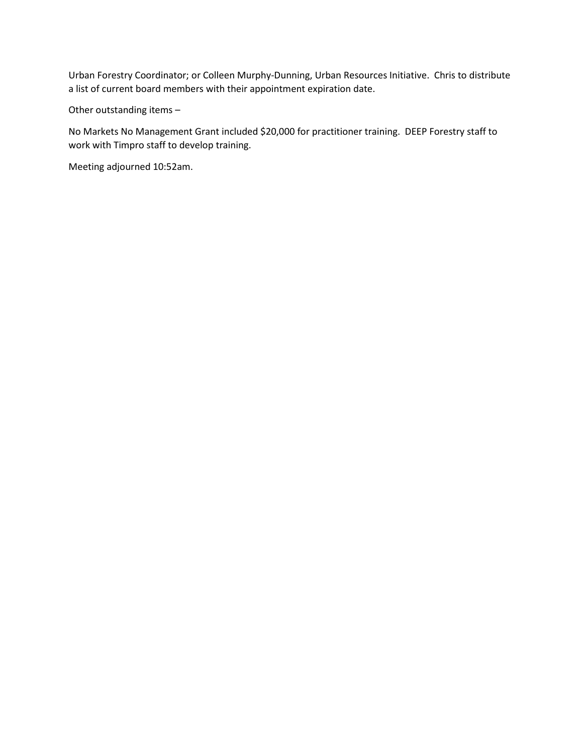Urban Forestry Coordinator; or Colleen Murphy-Dunning, Urban Resources Initiative. Chris to distribute a list of current board members with their appointment expiration date.

Other outstanding items –

No Markets No Management Grant included \$20,000 for practitioner training. DEEP Forestry staff to work with Timpro staff to develop training.

Meeting adjourned 10:52am.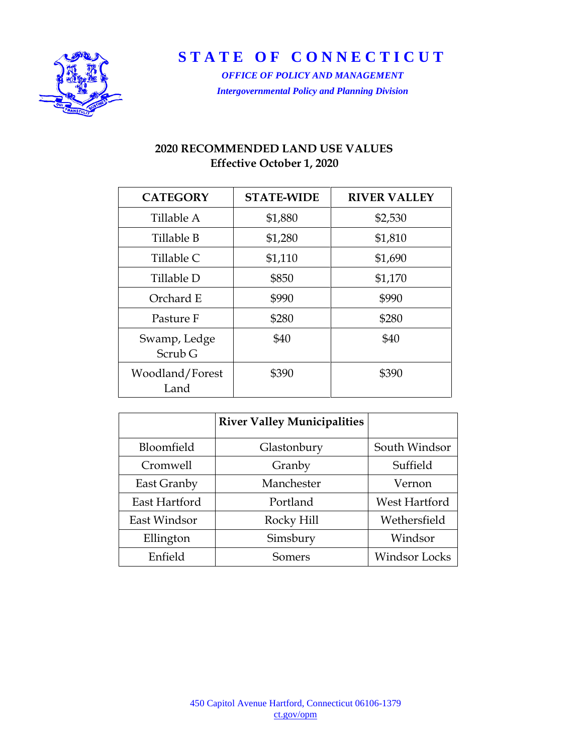

**STATE OF CONNECTICUT**

*OFFICE OF POLICY AND MANAGEMENT Intergovernmental Policy and Planning Division*

## **2020 RECOMMENDED LAND USE VALUES Effective October 1, 2020**

| <b>CATEGORY</b>                    | <b>STATE-WIDE</b> | <b>RIVER VALLEY</b> |
|------------------------------------|-------------------|---------------------|
| Tillable A                         | \$1,880           | \$2,530             |
| Tillable B                         | \$1,280           | \$1,810             |
| Tillable C                         | \$1,110           | \$1,690             |
| Tillable D                         | \$850             | \$1,170             |
| Orchard E                          | \$990             | \$990               |
| Pasture F                          | \$280             | \$280               |
| Swamp, Ledge<br>Scrub <sub>G</sub> | \$40              | \$40                |
| Woodland/Forest<br>Land            | \$390             | \$390               |

|               | <b>River Valley Municipalities</b> |                      |  |
|---------------|------------------------------------|----------------------|--|
| Bloomfield    | Glastonbury                        | South Windsor        |  |
| Cromwell      | Granby                             | Suffield             |  |
| East Granby   | Manchester                         | Vernon               |  |
| East Hartford | Portland                           | West Hartford        |  |
| East Windsor  | Rocky Hill                         | Wethersfield         |  |
| Ellington     | Simsbury                           | Windsor              |  |
| Enfield       | Somers                             | <b>Windsor Locks</b> |  |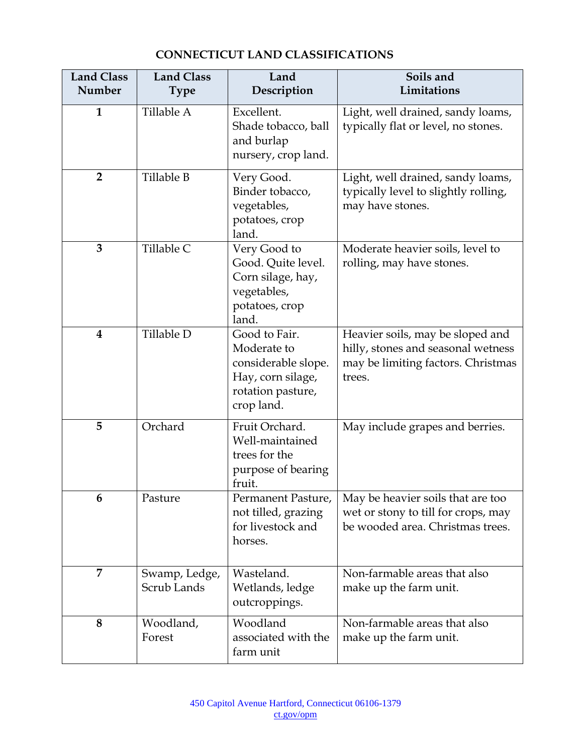| <b>Land Class</b><br>Number | <b>Land Class</b><br><b>Type</b> | Land<br>Description                                                                                         | Soils and<br>Limitations                                                                                               |  |
|-----------------------------|----------------------------------|-------------------------------------------------------------------------------------------------------------|------------------------------------------------------------------------------------------------------------------------|--|
| $\mathbf{1}$                | Tillable A                       | Excellent.<br>Shade tobacco, ball<br>and burlap<br>nursery, crop land.                                      | Light, well drained, sandy loams,<br>typically flat or level, no stones.                                               |  |
| $\overline{2}$              | Tillable B                       | Very Good.<br>Binder tobacco,<br>vegetables,<br>potatoes, crop<br>land.                                     | Light, well drained, sandy loams,<br>typically level to slightly rolling,<br>may have stones.                          |  |
| 3                           | Tillable C                       | Very Good to<br>Good. Quite level.<br>Corn silage, hay,<br>vegetables,<br>potatoes, crop<br>land.           | Moderate heavier soils, level to<br>rolling, may have stones.                                                          |  |
| $\overline{\mathbf{4}}$     | Tillable D                       | Good to Fair.<br>Moderate to<br>considerable slope.<br>Hay, corn silage,<br>rotation pasture,<br>crop land. | Heavier soils, may be sloped and<br>hilly, stones and seasonal wetness<br>may be limiting factors. Christmas<br>trees. |  |
| 5                           | Orchard                          | Fruit Orchard.<br>Well-maintained<br>trees for the<br>purpose of bearing<br>fruit.                          | May include grapes and berries.                                                                                        |  |
| 6                           | Pasture                          | Permanent Pasture,<br>not tilled, grazing<br>for livestock and<br>horses.                                   | May be heavier soils that are too<br>wet or stony to till for crops, may<br>be wooded area. Christmas trees.           |  |
| 7                           | Swamp, Ledge,<br>Scrub Lands     | Wasteland.<br>Wetlands, ledge<br>outcroppings.                                                              | Non-farmable areas that also<br>make up the farm unit.                                                                 |  |
| 8                           | Woodland,<br>Forest              | Woodland<br>associated with the<br>farm unit                                                                | Non-farmable areas that also<br>make up the farm unit.                                                                 |  |

## **CONNECTICUT LAND CLASSIFICATIONS**